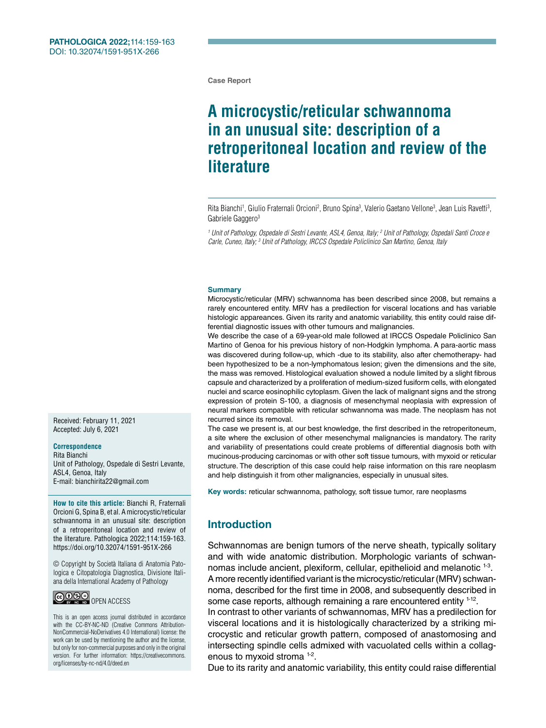**Case Report**

# **A microcystic/reticular schwannoma in an unusual site: description of a retroperitoneal location and review of the literature**

Rita Bianchi<sup>1</sup>, Giulio Fraternali Orcioni<sup>2</sup>, Bruno Spina<sup>3</sup>, Valerio Gaetano Vellone<sup>3</sup>, Jean Luis Ravetti<sup>3</sup>, Gabriele Gaggero<sup>3</sup>

*1 Unit of Pathology, Ospedale di Sestri Levante, ASL4, Genoa, Italy; 2 Unit of Pathology, Ospedali Santi Croce e Carle, Cuneo, Italy; 3 Unit of Pathology, IRCCS Ospedale Policlinico San Martino, Genoa, Italy*

#### **Summary**

Microcystic/reticular (MRV) schwannoma has been described since 2008, but remains a rarely encountered entity. MRV has a predilection for visceral locations and has variable histologic appareances. Given its rarity and anatomic variability, this entity could raise differential diagnostic issues with other tumours and malignancies.

We describe the case of a 69-year-old male followed at IRCCS Ospedale Policlinico San Martino of Genoa for his previous history of non-Hodgkin lymphoma. A para-aortic mass was discovered during follow-up, which -due to its stability, also after chemotherapy- had been hypothesized to be a non-lymphomatous lesion; given the dimensions and the site, the mass was removed. Histological evaluation showed a nodule limited by a slight fibrous capsule and characterized by a proliferation of medium-sized fusiform cells, with elongated nuclei and scarce eosinophilic cytoplasm. Given the lack of malignant signs and the strong expression of protein S-100, a diagnosis of mesenchymal neoplasia with expression of neural markers compatible with reticular schwannoma was made. The neoplasm has not recurred since its removal.

The case we present is, at our best knowledge, the first described in the retroperitoneum, a site where the exclusion of other mesenchymal malignancies is mandatory. The rarity and variability of presentations could create problems of differential diagnosis both with mucinous-producing carcinomas or with other soft tissue tumours, with myxoid or reticular structure. The description of this case could help raise information on this rare neoplasm and help distinguish it from other malignancies, especially in unusual sites.

**Key words:** reticular schwannoma, pathology, soft tissue tumor, rare neoplasms

## **Introduction**

Schwannomas are benign tumors of the nerve sheath, typically solitary and with wide anatomic distribution. Morphologic variants of schwannomas include ancient, plexiform, cellular, epithelioid and melanotic <sup>1-3</sup>. A more recently identified variant is the microcystic/reticular (MRV) schwannoma, described for the first time in 2008, and subsequently described in some case reports, although remaining a rare encountered entity <sup>1-12</sup>. In contrast to other variants of schwannomas, MRV has a predilection for visceral locations and it is histologically characterized by a striking mi-

crocystic and reticular growth pattern, composed of anastomosing and intersecting spindle cells admixed with vacuolated cells within a collagenous to myxoid stroma 1-2.

Due to its rarity and anatomic variability, this entity could raise differential

Received: February 11, 2021 Accepted: July 6, 2021

#### **Correspondence**

Rita Bianchi Unit of Pathology, Ospedale di Sestri Levante, ASL4, Genoa, Italy E-mail: [bianchirita22@gmail.com](mailto:bianchirita22@gmail.com)

**How to cite this article:** Bianchi R, Fraternali Orcioni G, Spina B, et al. A microcystic/reticular schwannoma in an unusual site: description of a retroperitoneal location and review of the literature. Pathologica 2022;114:159-163. [https://doi.org/10.32074/1591-951X-](https://doi.org/10.32074/1591-951X-266)266

© Copyright by Società Italiana di Anatomia Patologica e Citopatologia Diagnostica, Divisione Italiana della International Academy of Pathology



This is an open access journal distributed in accordance with the CC-BY-NC-ND (Creative Commons Attribution-NonCommercial-NoDerivatives 4.0 International) license: the work can be used by mentioning the author and the license, but only for non-commercial purposes and only in the original version. For further information: [https://creativecommons.](https://creativecommons.org/licenses/by-nc-nd/4.0/deed.en) [org/licenses/by-nc-nd/4.0/deed.en](https://creativecommons.org/licenses/by-nc-nd/4.0/deed.en)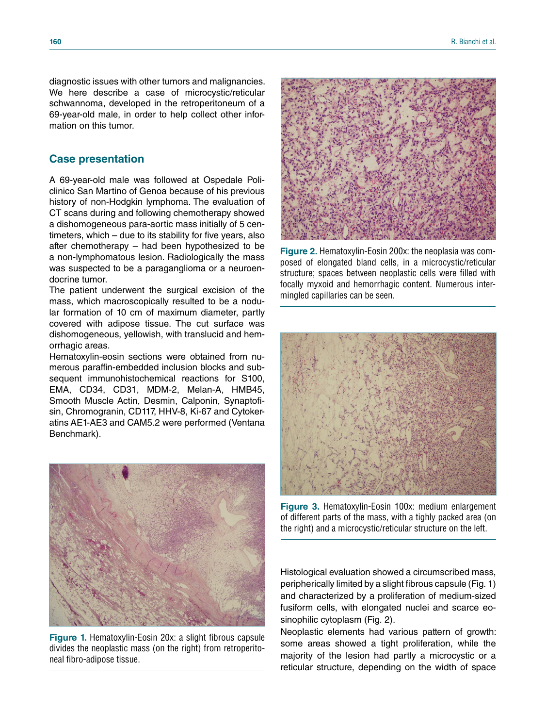diagnostic issues with other tumors and malignancies. We here describe a case of microcystic/reticular schwannoma, developed in the retroperitoneum of a 69-year-old male, in order to help collect other information on this tumor.

# **Case presentation**

A 69-year-old male was followed at Ospedale Policlinico San Martino of Genoa because of his previous history of non-Hodgkin lymphoma. The evaluation of CT scans during and following chemotherapy showed a dishomogeneous para-aortic mass initially of 5 centimeters, which – due to its stability for five years, also after chemotherapy – had been hypothesized to be a non-lymphomatous lesion. Radiologically the mass was suspected to be a paraganglioma or a neuroendocrine tumor.

The patient underwent the surgical excision of the mass, which macroscopically resulted to be a nodular formation of 10 cm of maximum diameter, partly covered with adipose tissue. The cut surface was dishomogeneous, yellowish, with translucid and hemorrhagic areas.

Hematoxylin-eosin sections were obtained from numerous paraffin-embedded inclusion blocks and subsequent immunohistochemical reactions for S100, EMA, CD34, CD31, MDM-2, Melan-A, HMB45, Smooth Muscle Actin, Desmin, Calponin, Synaptofisin, Chromogranin, CD117, HHV-8, Ki-67 and Cytokeratins AE1-AE3 and CAM5.2 were performed (Ventana Benchmark).



**Figure 1.** Hematoxylin-Eosin 20x: a slight fibrous capsule divides the neoplastic mass (on the right) from retroperitoneal fibro-adipose tissue.



**Figure 2.** Hematoxylin-Eosin 200x: the neoplasia was composed of elongated bland cells, in a microcystic/reticular structure; spaces between neoplastic cells were filled with focally myxoid and hemorrhagic content. Numerous intermingled capillaries can be seen.



**Figure 3.** Hematoxylin-Eosin 100x: medium enlargement of different parts of the mass, with a tighly packed area (on the right) and a microcystic/reticular structure on the left.

Histological evaluation showed a circumscribed mass, peripherically limited by a slight fibrous capsule (Fig. 1) and characterized by a proliferation of medium-sized fusiform cells, with elongated nuclei and scarce eosinophilic cytoplasm (Fig. 2).

Neoplastic elements had various pattern of growth: some areas showed a tight proliferation, while the majority of the lesion had partly a microcystic or a reticular structure, depending on the width of space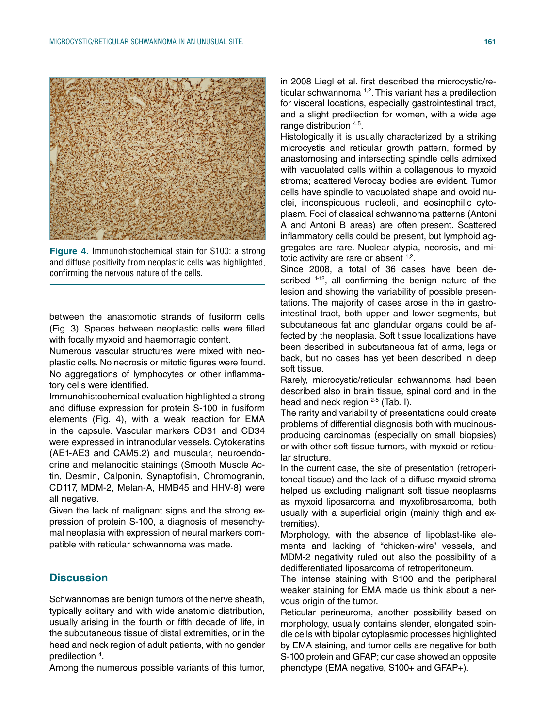

**Figure 4.** Immunohistochemical stain for S100: a strong and diffuse positivity from neoplastic cells was highlighted, confirming the nervous nature of the cells.

between the anastomotic strands of fusiform cells (Fig. 3). Spaces between neoplastic cells were filled with focally myxoid and haemorragic content.

Numerous vascular structures were mixed with neoplastic cells. No necrosis or mitotic figures were found. No aggregations of lymphocytes or other inflammatory cells were identified.

Immunohistochemical evaluation highlighted a strong and diffuse expression for protein S-100 in fusiform elements (Fig. 4), with a weak reaction for EMA in the capsule. Vascular markers CD31 and CD34 were expressed in intranodular vessels. Cytokeratins (AE1-AE3 and CAM5.2) and muscular, neuroendocrine and melanocitic stainings (Smooth Muscle Actin, Desmin, Calponin, Synaptofisin, Chromogranin, CD117, MDM-2, Melan-A, HMB45 and HHV-8) were all negative.

Given the lack of malignant signs and the strong expression of protein S-100, a diagnosis of mesenchymal neoplasia with expression of neural markers compatible with reticular schwannoma was made.

# **Discussion**

Schwannomas are benign tumors of the nerve sheath, typically solitary and with wide anatomic distribution, usually arising in the fourth or fifth decade of life, in the subcutaneous tissue of distal extremities, or in the head and neck region of adult patients, with no gender predilection <sup>4</sup>.

Among the numerous possible variants of this tumor,

in 2008 Liegl et al. first described the microcystic/reticular schwannoma <sup>1,2</sup>. This variant has a predilection for visceral locations, especially gastrointestinal tract, and a slight predilection for women, with a wide age range distribution <sup>4,5</sup>.

Histologically it is usually characterized by a striking microcystis and reticular growth pattern, formed by anastomosing and intersecting spindle cells admixed with vacuolated cells within a collagenous to myxoid stroma; scattered Verocay bodies are evident. Tumor cells have spindle to vacuolated shape and ovoid nuclei, inconspicuous nucleoli, and eosinophilic cytoplasm. Foci of classical schwannoma patterns (Antoni A and Antoni B areas) are often present. Scattered inflammatory cells could be present, but lymphoid aggregates are rare. Nuclear atypia, necrosis, and mitotic activity are rare or absent <sup>1,2</sup>.

Since 2008, a total of 36 cases have been described  $1-12$ , all confirming the benign nature of the lesion and showing the variability of possible presentations. The majority of cases arose in the in gastrointestinal tract, both upper and lower segments, but subcutaneous fat and glandular organs could be affected by the neoplasia. Soft tissue localizations have been described in subcutaneous fat of arms, legs or back, but no cases has yet been described in deep soft tissue.

Rarely, microcystic/reticular schwannoma had been described also in brain tissue, spinal cord and in the head and neck region  $2-5$  (Tab. I).

The rarity and variability of presentations could create problems of differential diagnosis both with mucinousproducing carcinomas (especially on small biopsies) or with other soft tissue tumors, with myxoid or reticular structure.

In the current case, the site of presentation (retroperitoneal tissue) and the lack of a diffuse myxoid stroma helped us excluding malignant soft tissue neoplasms as myxoid liposarcoma and myxofibrosarcoma, both usually with a superficial origin (mainly thigh and extremities).

Morphology, with the absence of lipoblast-like elements and lacking of "chicken-wire" vessels, and MDM-2 negativity ruled out also the possibility of a dedifferentiated liposarcoma of retroperitoneum.

The intense staining with S100 and the peripheral weaker staining for EMA made us think about a nervous origin of the tumor.

Reticular perineuroma, another possibility based on morphology, usually contains slender, elongated spindle cells with bipolar cytoplasmic processes highlighted by EMA staining, and tumor cells are negative for both S-100 protein and GFAP; our case showed an opposite phenotype (EMA negative, S100+ and GFAP+).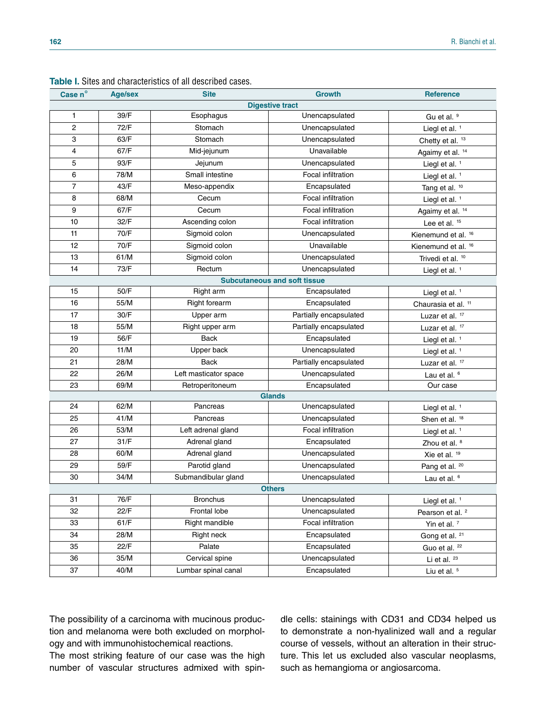| Case $n^{\circ}$                    | <b>Age/sex</b> | <b>Site</b>           | <b>Growth</b>          | <b>Reference</b>            |
|-------------------------------------|----------------|-----------------------|------------------------|-----------------------------|
| <b>Digestive tract</b>              |                |                       |                        |                             |
| 1                                   | 39/F           | Esophagus             | Unencapsulated         | Gu et al. 9                 |
| $\overline{c}$                      | 72/F           | Stomach               | Unencapsulated         | Liegl et al. 1              |
| 3                                   | 63/F           | Stomach               | Unencapsulated         | Chetty et al. 13            |
| 4                                   | 67/F           | Mid-jejunum           | Unavailable            | Agaimy et al. <sup>14</sup> |
| 5                                   | 93/F           | Jejunum               | Unencapsulated         | Liegl et al. <sup>1</sup>   |
| 6                                   | 78/M           | Small intestine       | Focal infiltration     | Liegl et al. <sup>1</sup>   |
| $\overline{7}$                      | 43/F           | Meso-appendix         | Encapsulated           | Tang et al. 10              |
| 8                                   | 68/M           | Cecum                 | Focal infiltration     | Liegl et al. <sup>1</sup>   |
| 9                                   | 67/F           | Cecum                 | Focal infiltration     | Agaimy et al. 14            |
| 10                                  | 32/F           | Ascending colon       | Focal infiltration     | Lee et al. 15               |
| 11                                  | 70/F           | Sigmoid colon         | Unencapsulated         | Kienemund et al. 16         |
| 12                                  | 70/F           | Sigmoid colon         | Unavailable            | Kienemund et al. 16         |
| 13                                  | 61/M           | Sigmoid colon         | Unencapsulated         | Trivedi et al. 10           |
| 14                                  | 73/F           | Rectum                | Unencapsulated         | Liegl et al. $1$            |
| <b>Subcutaneous and soft tissue</b> |                |                       |                        |                             |
| 15                                  | 50/F           | Right arm             | Encapsulated           | Liegl et al. <sup>1</sup>   |
| 16                                  | 55/M           | <b>Right forearm</b>  | Encapsulated           | Chaurasia et al. 11         |
| 17                                  | 30/F           | Upper arm             | Partially encapsulated | Luzar et al. 17             |
| 18                                  | 55/M           | Right upper arm       | Partially encapsulated | Luzar et al. 17             |
| 19                                  | 56/F           | <b>Back</b>           | Encapsulated           | Liegl et al. $1$            |
| 20                                  | 11/M           | Upper back            | Unencapsulated         | Liegl et al. <sup>1</sup>   |
| 21                                  | 28/M           | <b>Back</b>           | Partially encapsulated | Luzar et al. 17             |
| 22                                  | 26/M           | Left masticator space | Unencapsulated         | Lau et al. $6$              |
| 23                                  | 69/M           | Retroperitoneum       | Encapsulated           | Our case                    |
| <b>Glands</b>                       |                |                       |                        |                             |
| 24                                  | 62/M           | Pancreas              | Unencapsulated         | Liegl et al. 1              |
| 25                                  | 41/M           | Pancreas              | Unencapsulated         | Shen et al. 18              |
| 26                                  | 53/M           | Left adrenal gland    | Focal infiltration     | Liegl et al. <sup>1</sup>   |
| 27                                  | 31/F           | Adrenal gland         | Encapsulated           | Zhou et al. 8               |
| 28                                  | 60/M           | Adrenal gland         | Unencapsulated         | Xie et al. 19               |
| 29                                  | 59/F           | Parotid gland         | Unencapsulated         | Pang et al. 20              |
| 30                                  | 34/M           | Submandibular gland   | Unencapsulated         | Lau et al. 6                |
| <b>Others</b>                       |                |                       |                        |                             |
| 31                                  | 76/F           | <b>Bronchus</b>       | Unencapsulated         | Liegl et al. <sup>1</sup>   |
| 32                                  | 22/F           | Frontal lobe          | Unencapsulated         | Pearson et al. <sup>2</sup> |
| 33                                  | 61/F           | Right mandible        | Focal infiltration     | Yin et al. <sup>7</sup>     |
| 34                                  | 28/M           | Right neck            | Encapsulated           | Gong et al. <sup>21</sup>   |
| 35                                  | 22/F           | Palate                | Encapsulated           | Guo et al. <sup>22</sup>    |
| 36                                  | 35/M           | Cervical spine        | Unencapsulated         | Li et al. <sup>23</sup>     |
| 37                                  | 40/M           | Lumbar spinal canal   | Encapsulated           | Liu et al. 5                |

**Table I.** Sites and characteristics of all described cases.

The possibility of a carcinoma with mucinous production and melanoma were both excluded on morphology and with immunohistochemical reactions.

The most striking feature of our case was the high number of vascular structures admixed with spindle cells: stainings with CD31 and CD34 helped us to demonstrate a non-hyalinized wall and a regular course of vessels, without an alteration in their structure. This let us excluded also vascular neoplasms, such as hemangioma or angiosarcoma.